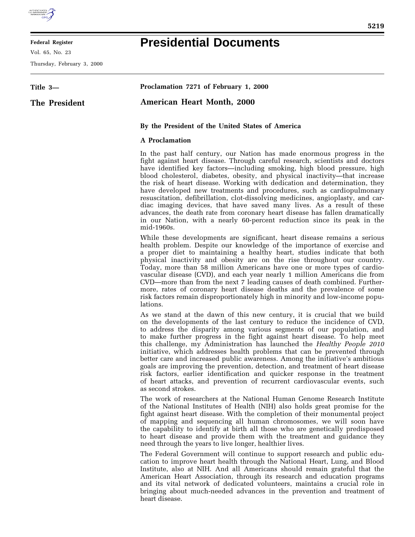

## **Federal Register**

Vol. 65, No. 23

Thursday, February 3, 2000

## **Presidential Documents**

| Title 3—      | Proclamation 7271 of February 1, 2000                                                                                                                                                                                                                                                                                                                                                                                                                                                                                                                                                                                                                                                                                                                                                                               |
|---------------|---------------------------------------------------------------------------------------------------------------------------------------------------------------------------------------------------------------------------------------------------------------------------------------------------------------------------------------------------------------------------------------------------------------------------------------------------------------------------------------------------------------------------------------------------------------------------------------------------------------------------------------------------------------------------------------------------------------------------------------------------------------------------------------------------------------------|
| The President | <b>American Heart Month, 2000</b>                                                                                                                                                                                                                                                                                                                                                                                                                                                                                                                                                                                                                                                                                                                                                                                   |
|               | By the President of the United States of America                                                                                                                                                                                                                                                                                                                                                                                                                                                                                                                                                                                                                                                                                                                                                                    |
|               | <b>A</b> Proclamation                                                                                                                                                                                                                                                                                                                                                                                                                                                                                                                                                                                                                                                                                                                                                                                               |
|               | In the past half century, our Nation has made enormous progress in the<br>fight against heart disease. Through careful research, scientists and doctors<br>have identified key factors—including smoking, high blood pressure, high<br>blood cholesterol, diabetes, obesity, and physical inactivity—that increase<br>the risk of heart disease. Working with dedication and determination, they<br>have developed new treatments and procedures, such as cardiopulmonary<br>resuscitation, defibrillation, clot-dissolving medicines, angioplasty, and car-<br>diac imaging devices, that have saved many lives. As a result of these<br>advances, the death rate from coronary heart disease has fallen dramatically<br>in our Nation, with a nearly 60-percent reduction since its peak in the<br>mid-1960s.     |
|               | While these developments are significant, heart disease remains a serious<br>health problem. Despite our knowledge of the importance of exercise and<br>a proper diet to maintaining a healthy heart, studies indicate that both<br>physical inactivity and obesity are on the rise throughout our country.<br>Today, more than 58 million Americans have one or more types of cardio-<br>vascular disease (CVD), and each year nearly 1 million Americans die from<br>CVD—more than from the next 7 leading causes of death combined. Further-<br>more, rates of coronary heart disease deaths and the prevalence of some<br>risk factors remain disproportionately high in minority and low-income popu-<br>lations.                                                                                              |
|               | As we stand at the dawn of this new century, it is crucial that we build<br>on the developments of the last century to reduce the incidence of CVD,<br>to address the disparity among various segments of our population, and<br>to make further progress in the fight against heart disease. To help meet<br>this challenge, my Administration has launched the Healthy People 2010<br>initiative, which addresses health problems that can be prevented through<br>better care and increased public awareness. Among the initiative's ambitious<br>goals are improving the prevention, detection, and treatment of heart disease<br>risk factors, earlier identification and quicker response in the treatment<br>of heart attacks, and prevention of recurrent cardiovascular events, such<br>as second strokes. |
|               | The work of researchers at the National Human Genome Research Institute<br>of the National Institutes of Health (NIH) also holds great promise for the<br>fight against heart disease. With the completion of their monumental project                                                                                                                                                                                                                                                                                                                                                                                                                                                                                                                                                                              |

of mapping and sequencing all human chromosomes, we will soon have the capability to identify at birth all those who are genetically predisposed to heart disease and provide them with the treatment and guidance they need through the years to live longer, healthier lives.

The Federal Government will continue to support research and public education to improve heart health through the National Heart, Lung, and Blood Institute, also at NIH. And all Americans should remain grateful that the American Heart Association, through its research and education programs and its vital network of dedicated volunteers, maintains a crucial role in bringing about much-needed advances in the prevention and treatment of heart disease.